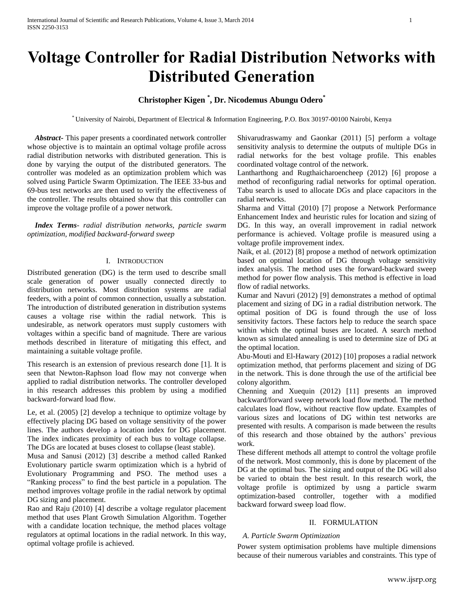# **Voltage Controller for Radial Distribution Networks with Distributed Generation**

# **Christopher Kigen \* , Dr. Nicodemus Abungu Odero\***

\* University of Nairobi, Department of Electrical & Information Engineering, P.O. Box 30197-00100 Nairobi, Kenya

 *Abstract***-** This paper presents a coordinated network controller whose objective is to maintain an optimal voltage profile across radial distribution networks with distributed generation. This is done by varying the output of the distributed generators. The controller was modeled as an optimization problem which was solved using Particle Swarm Optimization. The IEEE 33-bus and 69-bus test networks are then used to verify the effectiveness of the controller. The results obtained show that this controller can improve the voltage profile of a power network.

 *Index Terms*- *radial distribution networks, particle swarm optimization, modified backward-forward sweep*

#### I. INTRODUCTION

Distributed generation (DG) is the term used to describe small scale generation of power usually connected directly to distribution networks. Most distribution systems are radial feeders, with a point of common connection, usually a substation. The introduction of distributed generation in distribution systems causes a voltage rise within the radial network. This is undesirable, as network operators must supply customers with voltages within a specific band of magnitude. There are various methods described in literature of mitigating this effect, and maintaining a suitable voltage profile.

This research is an extension of previous research done [\[1\]](#page-4-0). It is seen that Newton-Raphson load flow may not converge when applied to radial distribution networks. The controller developed in this research addresses this problem by using a modified backward-forward load flow.

Le, et al. (2005) [2] develop a technique to optimize voltage by effectively placing DG based on voltage sensitivity of the power lines. The authors develop a location index for DG placement. The index indicates proximity of each bus to voltage collapse. The DGs are located at buses closest to collapse (least stable).

Musa and Sanusi (2012) [3] describe a method called Ranked Evolutionary particle swarm optimization which is a hybrid of Evolutionary Programming and PSO. The method uses a "Ranking process" to find the best particle in a population. The method improves voltage profile in the radial network by optimal DG sizing and placement.

Rao and Raju (2010) [4] describe a voltage regulator placement method that uses Plant Growth Simulation Algorithm. Together with a candidate location technique, the method places voltage regulators at optimal locations in the radial network. In this way, optimal voltage profile is achieved.

Shivarudraswamy and Gaonkar (2011) [5] perform a voltage sensitivity analysis to determine the outputs of multiple DGs in radial networks for the best voltage profile. This enables coordinated voltage control of the network.

Lantharthong and Rugthaicharoencheep (2012) [6] propose a method of reconfiguring radial networks for optimal operation. Tabu search is used to allocate DGs and place capacitors in the radial networks.

Sharma and Vittal (2010) [7] propose a Network Performance Enhancement Index and heuristic rules for location and sizing of DG. In this way, an overall improvement in radial network performance is achieved. Voltage profile is measured using a voltage profile improvement index.

Naik, et al. (2012) [8] propose a method of network optimization based on optimal location of DG through voltage sensitivity index analysis. The method uses the forward-backward sweep method for power flow analysis. This method is effective in load flow of radial networks.

Kumar and Navuri (2012) [9] demonstrates a method of optimal placement and sizing of DG in a radial distribution network. The optimal position of DG is found through the use of loss sensitivity factors. These factors help to reduce the search space within which the optimal buses are located. A search method known as simulated annealing is used to determine size of DG at the optimal location.

Abu-Mouti and El-Hawary (2012) [10] proposes a radial network optimization method, that performs placement and sizing of DG in the network. This is done through the use of the artificial bee colony algorithm.

Chenning and Xuequin (2012) [11] presents an improved backward/forward sweep network load flow method. The method calculates load flow, without reactive flow update. Examples of various sizes and locations of DG within test networks are presented with results. A comparison is made between the results of this research and those obtained by the authors' previous work.

These different methods all attempt to control the voltage profile of the network. Most commonly, this is done by placement of the DG at the optimal bus. The sizing and output of the DG will also be varied to obtain the best result. In this research work, the voltage profile is optimized by usng a particle swarm optimization-based controller, together with a modified backward forward sweep load flow.

#### II. FORMULATION

#### *A. Particle Swarm Optimization*

Power system optimisation problems have multiple dimensions because of their numerous variables and constraints. This type of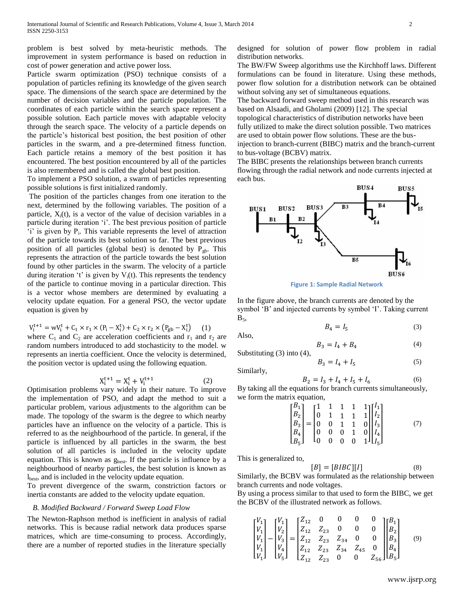problem is best solved by meta-heuristic methods. The improvement in system performance is based on reduction in cost of power generation and active power loss.

Particle swarm optimization (PSO) technique consists of a population of particles refining its knowledge of the given search space. The dimensions of the search space are determined by the number of decision variables and the particle population. The coordinates of each particle within the search space represent a possible solution. Each particle moves with adaptable velocity through the search space. The velocity of a particle depends on the particle's historical best position, the best position of other particles in the swarm, and a pre-determined fitness function. Each particle retains a memory of the best position it has encountered. The best position encountered by all of the particles is also remembered and is called the global best position.

To implement a PSO solution, a swarm of particles representing possible solutions is first initialized randomly.

The position of the particles changes from one iteration to the next, determined by the following variables. The position of a particle,  $X_i(t)$ , is a vector of the value of decision variables in a particle during iteration 'i'. The best previous position of particle 'i' is given by  $P_i$ . This variable represents the level of attraction of the particle towards its best solution so far. The best previous position of all particles (global best) is denoted by  $P_{gb}$ . This represents the attraction of the particle towards the best solution found by other particles in the swarm. The velocity of a particle during iteration 't' is given by  $V_i(t)$ . This represents the tendency of the particle to continue moving in a particular direction. This is a vector whose members are determined by evaluating a velocity update equation. For a general PSO, the vector update equation is given by

$$
V_i^{t+1} = wV_i^t + C_1 \times r_1 \times (P_i - X_i^t) + C_2 \times r_2 \times (P_{gb} - X_i^t) \tag{1}
$$

where  $C_1$  and  $C_2$  are acceleration coefficients and  $r_1$  and  $r_2$  are random numbers introduced to add stochasticity to the model. w represents an inertia coefficient. Once the velocity is determined, the position vector is updated using the following equation.

$$
X_i^{t+1} = X_i^t + V_i^{t+1}
$$
 (2)

Optimisation problems vary widely in their nature. To improve the implementation of PSO, and adapt the method to suit a particular problem, various adjustments to the algorithm can be made. The topology of the swarm is the degree to which nearby particles have an influence on the velocity of a particle. This is referred to as the neighbourhood of the particle. In general, if the particle is influenced by all particles in the swarm, the best solution of all particles is included in the velocity update equation. This is known as  $g_{best}$ . If the particle is influence by a neighbourhood of nearby particles, the best solution is known as lbest, and is included in the velocity update equation.

To prevent divergence of the swarm, constriction factors or inertia constants are added to the velocity update equation.

#### *B. Modified Backward / Forward Sweep Load Flow*

The Newton-Raphson method is inefficient in analysis of radial networks. This is because radial network data produces sparse matrices, which are time-consuming to process. Accordingly, there are a number of reported studies in the literature specially

designed for solution of power flow problem in radial distribution networks.

The BW/FW Sweep algorithms use the Kirchhoff laws. Different formulations can be found in literature. Using these methods, power flow solution for a distribution network can be obtained without solving any set of simultaneous equations.

The backward forward sweep method used in this research was based on Alsaadi, and Gholami (2009) [12]. The special topological characteristics of distribution networks have been fully utilized to make the direct solution possible. Two matrices are used to obtain power flow solutions. These are the businjection to branch-current (BIBC) matrix and the branch-current to bus-voltage (BCBV) matrix.

The BIBC presents the relationships between branch currents flowing through the radial network and node currents injected at each bus.



**Figure 1: Sample Radial Network**

In the figure above, the branch currents are denoted by the symbol 'B' and injected currents by symbol 'I'. Taking current  $B_5$ 

$$
B_4 = I_5 \tag{3}
$$

Also,

$$
B_3 = I_4 + B_4 \tag{4}
$$

Substituting (3) into (4),

Similarly,

$$
B_2 = I_3 + I_4 + I_5 + I_6 \tag{6}
$$

By taking all the equations for branch currents simultaneously, we form the matrix equation,

 $B_3 = I_4 + I_5$ 

$$
\begin{bmatrix} B_1 \\ B_2 \\ B_3 \\ B_4 \\ B_5 \end{bmatrix} = \begin{bmatrix} 1 & 1 & 1 & 1 & 1 \\ 0 & 1 & 1 & 1 & 1 \\ 0 & 0 & 1 & 1 & 0 \\ 0 & 0 & 0 & 1 & 0 \\ 0 & 0 & 0 & 0 & 1 \end{bmatrix} \begin{bmatrix} I_1 \\ I_2 \\ I_3 \\ I_4 \\ I_5 \end{bmatrix}
$$
 (7)

This is generalized to,

$$
[B] = [BIBC][I] \tag{8}
$$

Similarly, the BCBV was formulated as the relationship between branch currents and node voltages.

By using a process similar to that used to form the BIBC, we get the BCBV of the illustrated network as follows.

$$
\begin{bmatrix} V_1 \\ V_1 \\ V_1 \\ V_1 \\ V_1 \end{bmatrix} - \begin{bmatrix} V_1 \\ V_2 \\ V_2 \\ V_3 \\ V_4 \\ V_5 \end{bmatrix} = \begin{bmatrix} Z_{12} & 0 & 0 & 0 & 0 \\ Z_{12} & Z_{23} & 0 & 0 & 0 \\ Z_{12} & Z_{23} & Z_{34} & 0 & 0 \\ Z_{12} & Z_{23} & Z_{34} & Z_{45} & 0 \\ Z_{12} & Z_{23} & 0 & 0 & Z_{56} \end{bmatrix} \begin{bmatrix} B_1 \\ B_2 \\ B_3 \\ B_4 \\ B_5 \end{bmatrix}
$$
(9)

(5)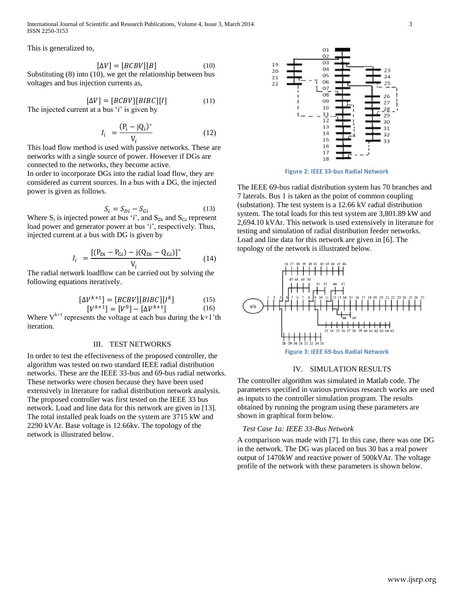International Journal of Scientific and Research Publications, Volume 4, Issue 3, March 2014 3 ISSN 2250-3153

This is generalized to,

$$
[\Delta V] = [BCBV][B] \tag{10}
$$

Substituting (8) into (10), we get the relationship between bus voltages and bus injection currents as,

 $[\Delta V] = [BCBV][BIBC][I]$  (11) The injected current at a bus '*i*' is given by

$$
I_i = \frac{(P_i - jQ_i)^*}{V_i}
$$
 (12)

This load flow method is used with passive networks. These are networks with a single source of power. However if DGs are connected to the networks, they become active.

In order to incorporate DGs into the radial load flow, they are considered as current sources. In a bus with a DG, the injected power is given as follows.

$$
S_i = S_{Di} - S_{Gi} \tag{13}
$$

Where  $S_i$  is injected power at bus '*i*', and  $S_{Di}$  and  $S_{Gi}$  represent load power and generator power at bus '*i*', respectively. Thus, injected current at a bus with DG is given by

$$
I_{i} = \frac{[(P_{Di} - P_{Gi}) - j(Q_{Di} - Q_{Gi})]^{*}}{V_{i}}
$$
(14)

The radial network loadflow can be carried out by solving the following equations iteratively.

$$
\begin{bmatrix} \Delta V^{k+1} \end{bmatrix} = \begin{bmatrix} BCBV \end{bmatrix} \begin{bmatrix} BIBC \end{bmatrix} \begin{bmatrix} I^k \end{bmatrix} \tag{15}
$$

$$
\begin{bmatrix} V^{k+1} \end{bmatrix} = \begin{bmatrix} V^0 \end{bmatrix} - \begin{bmatrix} \Delta V^{k+1} \end{bmatrix} \tag{16}
$$

Where  $V^{k+1}$  represents the voltage at each bus during the  $k+1$ 'th iteration.

#### III. TEST NETWORKS

In order to test the effectiveness of the proposed controller, the algorithm was tested on two standard IEEE radial distribution networks. These are the IEEE 33-bus and 69-bus radial networks. These networks were chosen because they have been used extensively in literature for radial distribution network analysis. The proposed controller was first tested on the IEEE 33 bus network. Load and line data for this network are given in [13]. The total installed peak loads on the system are 3715 kW and 2290 kVAr. Base voltage is 12.66kv. The topology of the network is illustrated below.



**Figure 2: IEEE 33-bus Radial Network**

The IEEE 69-bus radial distribution system has 70 branches and 7 laterals. Bus 1 is taken as the point of common coupling (substation). The test system is a 12.66 kV radial distribution system. The total loads for this test system are 3,801.89 kW and 2,694.10 kVAr. This network is used extensively in literature for testing and simulation of radial distribution feeder networks. Load and line data for this network are given in [6]. The topology of the network is illustrated below.



#### IV. SIMULATION RESULTS

The controller algorithm was simulated in Matlab code. The parameters specified in various previous research works are used as inputs to the controller simulation program. The results obtained by running the program using these parameters are shown in graphical form below.

#### *Test Case 1a: IEEE 33-Bus Network*

A comparison was made with [7]. In this case, there was one DG in the network. The DG was placed on bus 30 has a real power output of 1470kW and reactive power of 500kVAr. The voltage profile of the network with these parameters is shown below.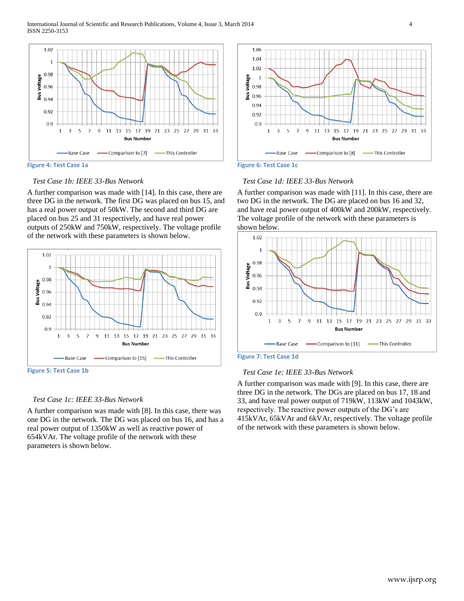International Journal of Scientific and Research Publications, Volume 4, Issue 3, March 2014 4 ISSN 2250-3153



# *Test Case 1b: IEEE 33-Bus Network*

A further comparison was made with [14]. In this case, there are three DG in the network. The first DG was placed on bus 15, and has a real power output of 50kW. The second and third DG are placed on bus 25 and 31 respectively, and have real power outputs of 250kW and 750kW, respectively. The voltage profile of the network with these parameters is shown below.



**Figure 5: Test Case 1b**

#### *Test Case 1c: IEEE 33-Bus Network*

A further comparison was made with [8]. In this case, there was one DG in the network. The DG was placed on bus 16, and has a real power output of 1350kW as well as reactive power of 654kVAr. The voltage profile of the network with these parameters is shown below.





#### *Test Case 1d: IEEE 33-Bus Network*

A further comparison was made with [11]. In this case, there are two DG in the network. The DG are placed on bus 16 and 32, and have real power output of 400kW and 200kW, respectively. The voltage profile of the network with these parameters is shown below.



**Figure 7: Test Case 1d**

#### *Test Case 1e: IEEE 33-Bus Network*

A further comparison was made with [9]. In this case, there are three DG in the network. The DGs are placed on bus 17, 18 and 33, and have real power output of 719kW, 113kW and 1043kW, respectively. The reactive power outputs of the DG's are 415kVAr, 65kVAr and 6kVAr, respectively. The voltage profile of the network with these parameters is shown below.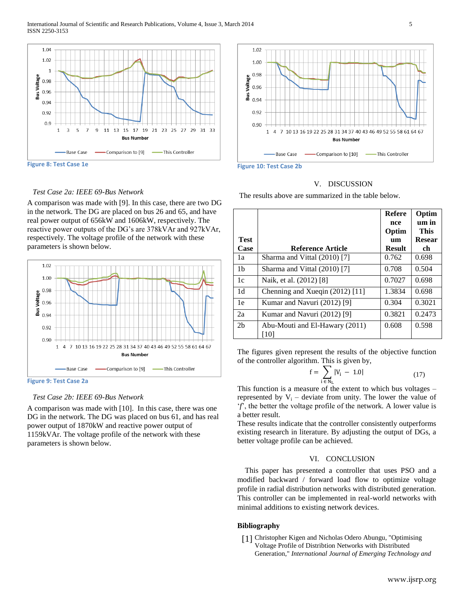

# *Test Case 2a: IEEE 69-Bus Network*

A comparison was made with [9]. In this case, there are two DG in the network. The DG are placed on bus 26 and 65, and have real power output of 656kW and 1606kW, respectively. The reactive power outputs of the DG's are 378kVAr and 927kVAr, respectively. The voltage profile of the network with these parameters is shown below.



**Figure 9: Test Case 2a**

# *Test Case 2b: IEEE 69-Bus Network*

A comparison was made with [10]. In this case, there was one DG in the network. The DG was placed on bus 61, and has real power output of 1870kW and reactive power output of 1159kVAr. The voltage profile of the network with these parameters is shown below.



**Figure 10: Test Case 2b**

#### V. DISCUSSION

The results above are summarized in the table below.

|                     |                                        | <b>Refere</b><br>nce<br>Optim | Optim<br>um in<br><b>This</b> |
|---------------------|----------------------------------------|-------------------------------|-------------------------------|
| <b>Test</b><br>Case | Reference Article                      | um<br><b>Result</b>           | <b>Resear</b>                 |
|                     |                                        |                               | ch                            |
| 1a                  | Sharma and Vittal (2010) [7]           | 0.762                         | 0.698                         |
| 1 <sub>b</sub>      | Sharma and Vittal (2010) [7]           | 0.708                         | 0.504                         |
| 1c                  | Naik, et al. (2012) [8]                | 0.7027                        | 0.698                         |
| 1 <sub>d</sub>      | Chenning and Xueqin (2012) [11]        | 1.3834                        | 0.698                         |
| 1e                  | Kumar and Navuri (2012) [9]            | 0.304                         | 0.3021                        |
| 2a                  | Kumar and Navuri (2012) [9]            | 0.3821                        | 0.2473                        |
| 2 <sub>b</sub>      | Abu-Mouti and El-Hawary (2011)<br>[10] | 0.608                         | 0.598                         |

The figures given represent the results of the objective function of the controller algorithm. This is given by,

$$
f = \sum_{i \in N_{\rm L}} |V_i - 1.0| \tag{17}
$$

This function is a measure of the extent to which bus voltages – represented by  $V_i$  – deviate from unity. The lower the value of '*f*', the better the voltage profile of the network. A lower value is a better result.

These results indicate that the controller consistently outperforms existing research in literature. By adjusting the output of DGs, a better voltage profile can be achieved.

# VI. CONCLUSION

This paper has presented a controller that uses PSO and a modified backward / forward load flow to optimize voltage profile in radial distribution networks with distributed generation. This controller can be implemented in real-world networks with minimal additions to existing network devices.

# **Bibliography**

<span id="page-4-0"></span>[1] Christopher Kigen and Nicholas Odero Abungu, "Optimising Voltage Profile of Distribtion Networks with Distributed Generation," *International Journal of Emerging Technology and*